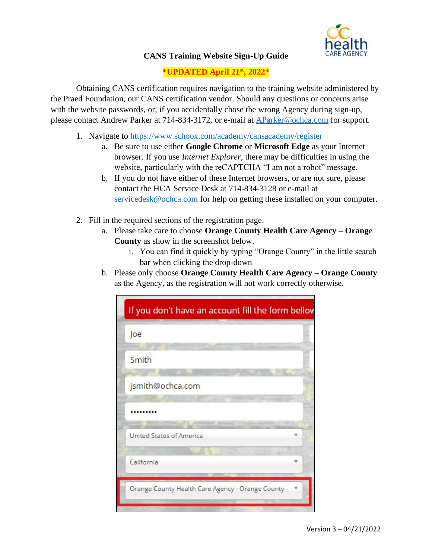

## **CANS Training Website Sign-Up Guide**

## **\*UPDATED April 21st , 2022\***

Obtaining CANS certification requires navigation to the training website administered by the Praed Foundation, our CANS certification vendor. Should any questions or concerns arise with the website passwords, or, if you accidentally chose the wrong Agency during sign-up, please contact Andrew Parker at 714-834-3172, or e-mail at [AParker@ochca.com](mailto:AParker@ochca.com) for support.

- 1. Navigate to<https://www.schoox.com/academy/cansacademy/register>
	- a. Be sure to use either **Google Chrome** or **Microsoft Edge** as your Internet browser. If you use *Internet Explorer*, there may be difficulties in using the website, particularly with the reCAPTCHA "I am not a robot" message.
	- b. If you do not have either of these Internet browsers, or are not sure, please contact the HCA Service Desk at 714-834-3128 or e-mail at [servicedesk@ochca.com](mailto:servicedesk@ochca.com) for help on getting these installed on your computer.
- 2. Fill in the required sections of the registration page.
	- a. Please take care to choose **Orange County Health Care Agency – Orange County** as show in the screenshot below.
		- i. You can find it quickly by typing "Orange County" in the little search bar when clicking the drop-down
	- b. Please only choose **Orange County Health Care Agency – Orange County**  as the Agency, as the registration will not work correctly otherwise.

| Joe                                              |  |
|--------------------------------------------------|--|
| Smith                                            |  |
| jsmith@ochca.com                                 |  |
|                                                  |  |
| United States of America                         |  |
| California                                       |  |
| Orange County Health Care Agency - Orange County |  |